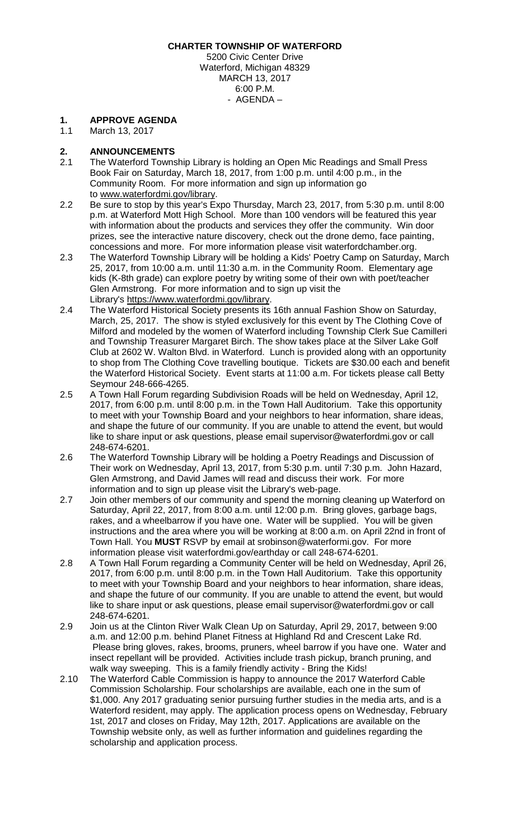**CHARTER TOWNSHIP OF WATERFORD**

5200 Civic Center Drive Waterford, Michigan 48329 MARCH 13, 2017 6:00 P.M. - AGENDA –

#### **1. APPROVE AGENDA**

1.1 March 13, 2017

# **2. ANNOUNCEMENTS**

- 2.1 The Waterford Township Library is holding an Open Mic Readings and Small Press Book Fair on Saturday, March 18, 2017, from 1:00 p.m. until 4:00 p.m., in the Community Room. For more information and sign up information go to www.waterfordmi.gov/library.
- 2.2 Be sure to stop by this year's Expo Thursday, March 23, 2017, from 5:30 p.m. until 8:00 p.m. at Waterford Mott High School. More than 100 vendors will be featured this year with information about the products and services they offer the community. Win door prizes, see the interactive nature discovery, check out the drone demo, face painting, concessions and more. For more information please visit waterfordchamber.org.
- 2.3 The Waterford Township Library will be holding a Kids' Poetry Camp on Saturday, March 25, 2017, from 10:00 a.m. until 11:30 a.m. in the Community Room. Elementary age kids (K-8th grade) can explore poetry by writing some of their own with poet/teacher Glen Armstrong. For more information and to sign up visit the Library's [https://www.waterfordmi.gov/library.](https://www.waterfordmi.gov/library)
- 2.4 The Waterford Historical Society presents its 16th annual Fashion Show on Saturday, March, 25, 2017. The show is styled exclusively for this event by The Clothing Cove of Milford and modeled by the women of Waterford including Township Clerk Sue Camilleri and Township Treasurer Margaret Birch. The show takes place at the Silver Lake Golf Club at 2602 W. Walton Blvd. in Waterford. Lunch is provided along with an opportunity to shop from The Clothing Cove travelling boutique. Tickets are \$30.00 each and benefit the Waterford Historical Society. Event starts at 11:00 a.m. For tickets please call Betty Seymour 248-666-4265.
- 2.5 A Town Hall Forum regarding Subdivision Roads will be held on Wednesday, April 12, 2017, from 6:00 p.m. until 8:00 p.m. in the Town Hall Auditorium. Take this opportunity to meet with your Township Board and your neighbors to hear information, share ideas, and shape the future of our community. If you are unable to attend the event, but would like to share input or ask questions, please email supervisor@waterfordmi.gov or call 248-674-6201.
- 2.6 The Waterford Township Library will be holding a Poetry Readings and Discussion of Their work on Wednesday, April 13, 2017, from 5:30 p.m. until 7:30 p.m. John Hazard, Glen Armstrong, and David James will read and discuss their work. For more information and to sign up please visit the Library's [web-page.](http://waterfordmi.gov/477/Library)
- 2.7 Join other members of our community and spend the morning cleaning up Waterford on Saturday, April 22, 2017, from 8:00 a.m. until 12:00 p.m. Bring gloves, garbage bags, rakes, and a wheelbarrow if you have one. Water will be supplied. You will be given instructions and the area where you will be working at 8:00 a.m. on April 22nd in front of Town Hall. You **MUST** RSVP by email at srobinson@waterformi.gov. For more information please visit waterfordmi.gov/earthday or call 248-674-6201.
- 2.8 A Town Hall Forum regarding a Community Center will be held on Wednesday, April 26, 2017, from 6:00 p.m. until 8:00 p.m. in the Town Hall Auditorium. Take this opportunity to meet with your Township Board and your neighbors to hear information, share ideas, and shape the future of our community. If you are unable to attend the event, but would like to share input or ask questions, please email supervisor@waterfordmi.gov or call 248-674-6201.
- 2.9 Join us at the Clinton River Walk Clean Up on Saturday, April 29, 2017, between 9:00 a.m. and 12:00 p.m. behind Planet Fitness at Highland Rd and Crescent Lake Rd. Please bring gloves, rakes, brooms, pruners, wheel barrow if you have one. Water and insect repellant will be provided. Activities include trash pickup, branch pruning, and walk way sweeping. This is a family friendly activity - Bring the Kids!
- 2.10 The Waterford Cable Commission is happy to announce the 2017 Waterford Cable Commission Scholarship. Four scholarships are available, each one in the sum of \$1,000. Any 2017 graduating senior pursuing further studies in the media arts, and is a Waterford resident, may apply. The application process opens on Wednesday, February 1st, 2017 and closes on Friday, May 12th, 2017. Applications are available on the Township website only, as well as further information and guidelines regarding the scholarship and application process.